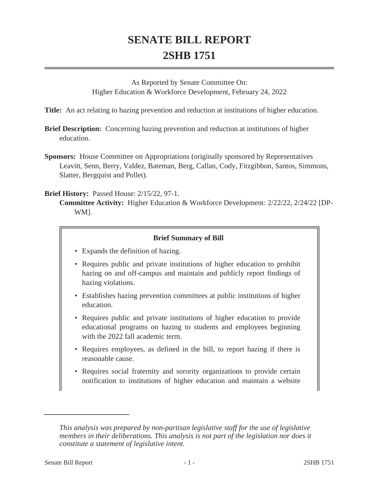## **SENATE BILL REPORT 2SHB 1751**

As Reported by Senate Committee On: Higher Education & Workforce Development, February 24, 2022

**Title:** An act relating to hazing prevention and reduction at institutions of higher education.

- **Brief Description:** Concerning hazing prevention and reduction at institutions of higher education.
- **Sponsors:** House Committee on Appropriations (originally sponsored by Representatives Leavitt, Senn, Berry, Valdez, Bateman, Berg, Callan, Cody, Fitzgibbon, Santos, Simmons, Slatter, Bergquist and Pollet).

**Brief History:** Passed House: 2/15/22, 97-1.

**Committee Activity:** Higher Education & Workforce Development: 2/22/22, 2/24/22 [DP-WM].

## **Brief Summary of Bill**

- Expands the definition of hazing.
- Requires public and private institutions of higher education to prohibit hazing on and off-campus and maintain and publicly report findings of hazing violations.
- Establishes hazing prevention committees at public institutions of higher education.
- Requires public and private institutions of higher education to provide educational programs on hazing to students and employees beginning with the 2022 fall academic term.
- Requires employees, as defined in the bill, to report hazing if there is reasonable cause.
- Requires social fraternity and sorority organizations to provide certain notification to institutions of higher education and maintain a website

*This analysis was prepared by non-partisan legislative staff for the use of legislative members in their deliberations. This analysis is not part of the legislation nor does it constitute a statement of legislative intent.*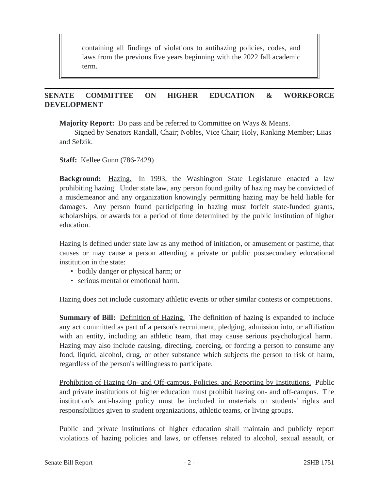containing all findings of violations to antihazing policies, codes, and laws from the previous five years beginning with the 2022 fall academic term.

## **SENATE COMMITTEE ON HIGHER EDUCATION & WORKFORCE DEVELOPMENT**

**Majority Report:** Do pass and be referred to Committee on Ways & Means.

Signed by Senators Randall, Chair; Nobles, Vice Chair; Holy, Ranking Member; Liias and Sefzik.

**Staff:** Kellee Gunn (786-7429)

**Background:** Hazing. In 1993, the Washington State Legislature enacted a law prohibiting hazing. Under state law, any person found guilty of hazing may be convicted of a misdemeanor and any organization knowingly permitting hazing may be held liable for damages. Any person found participating in hazing must forfeit state-funded grants, scholarships, or awards for a period of time determined by the public institution of higher education.

Hazing is defined under state law as any method of initiation, or amusement or pastime, that causes or may cause a person attending a private or public postsecondary educational institution in the state:

- bodily danger or physical harm; or
- serious mental or emotional harm.

Hazing does not include customary athletic events or other similar contests or competitions.

**Summary of Bill:** Definition of Hazing. The definition of hazing is expanded to include any act committed as part of a person's recruitment, pledging, admission into, or affiliation with an entity, including an athletic team, that may cause serious psychological harm. Hazing may also include causing, directing, coercing, or forcing a person to consume any food, liquid, alcohol, drug, or other substance which subjects the person to risk of harm, regardless of the person's willingness to participate.

Prohibition of Hazing On- and Off-campus, Policies, and Reporting by Institutions. Public and private institutions of higher education must prohibit hazing on- and off-campus. The institution's anti-hazing policy must be included in materials on students' rights and responsibilities given to student organizations, athletic teams, or living groups.

Public and private institutions of higher education shall maintain and publicly report violations of hazing policies and laws, or offenses related to alcohol, sexual assault, or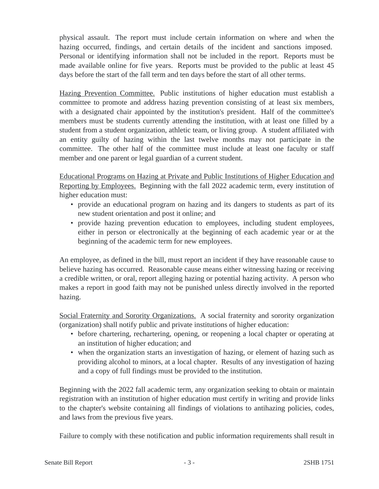physical assault. The report must include certain information on where and when the hazing occurred, findings, and certain details of the incident and sanctions imposed. Personal or identifying information shall not be included in the report. Reports must be made available online for five years. Reports must be provided to the public at least 45 days before the start of the fall term and ten days before the start of all other terms.

Hazing Prevention Committee. Public institutions of higher education must establish a committee to promote and address hazing prevention consisting of at least six members, with a designated chair appointed by the institution's president. Half of the committee's members must be students currently attending the institution, with at least one filled by a student from a student organization, athletic team, or living group. A student affiliated with an entity guilty of hazing within the last twelve months may not participate in the committee. The other half of the committee must include at least one faculty or staff member and one parent or legal guardian of a current student.

Educational Programs on Hazing at Private and Public Institutions of Higher Education and Reporting by Employees. Beginning with the fall 2022 academic term, every institution of higher education must:

- provide an educational program on hazing and its dangers to students as part of its new student orientation and post it online; and
- provide hazing prevention education to employees, including student employees, either in person or electronically at the beginning of each academic year or at the beginning of the academic term for new employees.

An employee, as defined in the bill, must report an incident if they have reasonable cause to believe hazing has occurred. Reasonable cause means either witnessing hazing or receiving a credible written, or oral, report alleging hazing or potential hazing activity. A person who makes a report in good faith may not be punished unless directly involved in the reported hazing.

Social Fraternity and Sorority Organizations. A social fraternity and sorority organization (organization) shall notify public and private institutions of higher education:

- before chartering, rechartering, opening, or reopening a local chapter or operating at an institution of higher education; and
- when the organization starts an investigation of hazing, or element of hazing such as providing alcohol to minors, at a local chapter. Results of any investigation of hazing and a copy of full findings must be provided to the institution.

Beginning with the 2022 fall academic term, any organization seeking to obtain or maintain registration with an institution of higher education must certify in writing and provide links to the chapter's website containing all findings of violations to antihazing policies, codes, and laws from the previous five years.

Failure to comply with these notification and public information requirements shall result in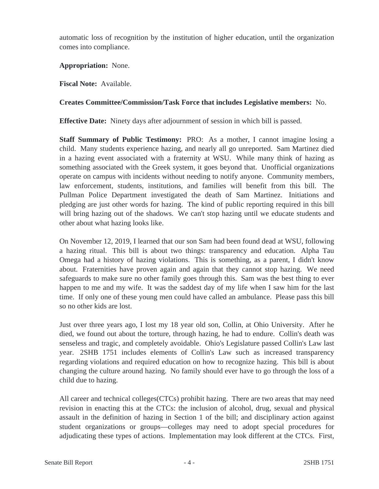automatic loss of recognition by the institution of higher education, until the organization comes into compliance.

**Appropriation:** None.

**Fiscal Note:** Available.

## **Creates Committee/Commission/Task Force that includes Legislative members:** No.

**Effective Date:** Ninety days after adjournment of session in which bill is passed.

**Staff Summary of Public Testimony:** PRO: As a mother, I cannot imagine losing a child. Many students experience hazing, and nearly all go unreported. Sam Martinez died in a hazing event associated with a fraternity at WSU. While many think of hazing as something associated with the Greek system, it goes beyond that. Unofficial organizations operate on campus with incidents without needing to notify anyone. Community members, law enforcement, students, institutions, and families will benefit from this bill. The Pullman Police Department investigated the death of Sam Martinez. Initiations and pledging are just other words for hazing. The kind of public reporting required in this bill will bring hazing out of the shadows. We can't stop hazing until we educate students and other about what hazing looks like.

On November 12, 2019, I learned that our son Sam had been found dead at WSU, following a hazing ritual. This bill is about two things: transparency and education. Alpha Tau Omega had a history of hazing violations. This is something, as a parent, I didn't know about. Fraternities have proven again and again that they cannot stop hazing. We need safeguards to make sure no other family goes through this. Sam was the best thing to ever happen to me and my wife. It was the saddest day of my life when I saw him for the last time. If only one of these young men could have called an ambulance. Please pass this bill so no other kids are lost.

Just over three years ago, I lost my 18 year old son, Collin, at Ohio University. After he died, we found out about the torture, through hazing, he had to endure. Collin's death was senseless and tragic, and completely avoidable. Ohio's Legislature passed Collin's Law last year. 2SHB 1751 includes elements of Collin's Law such as increased transparency regarding violations and required education on how to recognize hazing. This bill is about changing the culture around hazing. No family should ever have to go through the loss of a child due to hazing.

All career and technical colleges(CTCs) prohibit hazing. There are two areas that may need revision in enacting this at the CTCs: the inclusion of alcohol, drug, sexual and physical assault in the definition of hazing in Section 1 of the bill; and disciplinary action against student organizations or groups—colleges may need to adopt special procedures for adjudicating these types of actions. Implementation may look different at the CTCs. First,